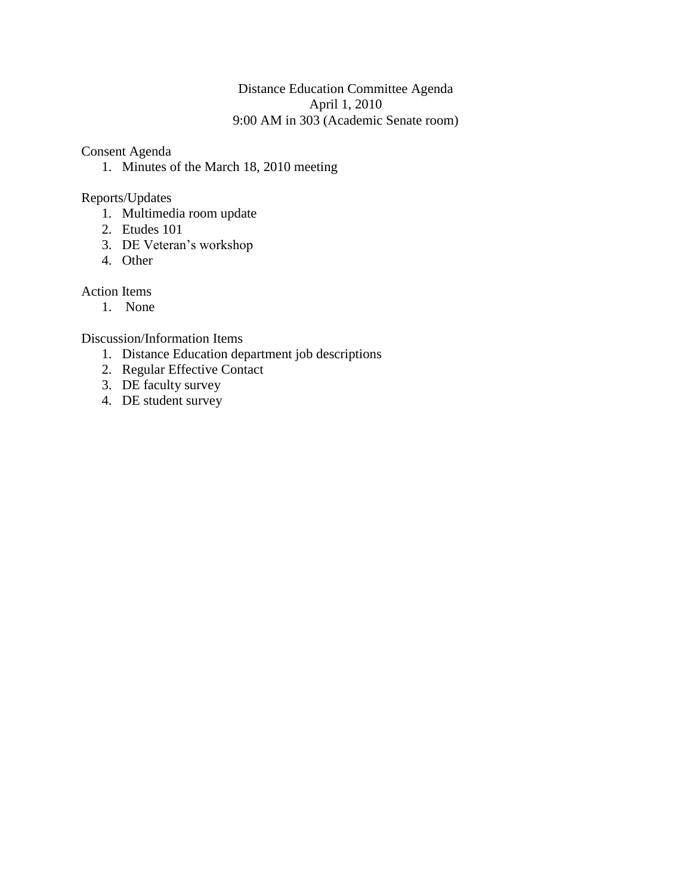### Distance Education Committee Agenda April 1, 2010 9:00 AM in 303 (Academic Senate room)

Consent Agenda

1. Minutes of the March 18, 2010 meeting

Reports/Updates

- 1. Multimedia room update
- 2. Etudes 101
- 3. DE Veteran's workshop
- 4. Other

Action Items

1. None

Discussion/Information Items

- 1. Distance Education department job descriptions
- 2. Regular Effective Contact
- 3. DE faculty survey
- 4. DE student survey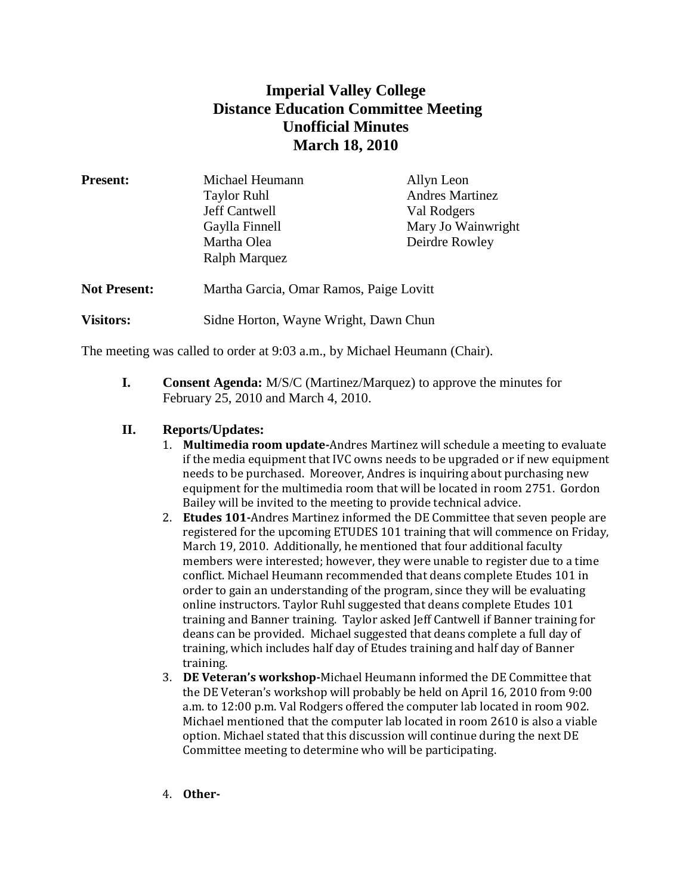# **Imperial Valley College Distance Education Committee Meeting Unofficial Minutes March 18, 2010**

| <b>Present:</b>     | Michael Heumann                         | Allyn Leon             |
|---------------------|-----------------------------------------|------------------------|
|                     | <b>Taylor Ruhl</b>                      | <b>Andres Martinez</b> |
|                     | Jeff Cantwell                           | Val Rodgers            |
|                     | Gaylla Finnell                          | Mary Jo Wainwright     |
|                     | Martha Olea                             | Deirdre Rowley         |
|                     | Ralph Marquez                           |                        |
| <b>Not Present:</b> | Martha Garcia, Omar Ramos, Paige Lovitt |                        |
| <b>Visitors:</b>    | Sidne Horton, Wayne Wright, Dawn Chun   |                        |

The meeting was called to order at 9:03 a.m., by Michael Heumann (Chair).

**I. Consent Agenda:** M/S/C (Martinez/Marquez) to approve the minutes for February 25, 2010 and March 4, 2010.

### **II. Reports/Updates:**

- 1. **Multimedia room update-**Andres Martinez will schedule a meeting to evaluate if the media equipment that IVC owns needs to be upgraded or if new equipment needs to be purchased. Moreover, Andres is inquiring about purchasing new equipment for the multimedia room that will be located in room 2751. Gordon Bailey will be invited to the meeting to provide technical advice.
- 2. **Etudes 101-**Andres Martinez informed the DE Committee that seven people are registered for the upcoming ETUDES 101 training that will commence on Friday, March 19, 2010. Additionally, he mentioned that four additional faculty members were interested; however, they were unable to register due to a time conflict. Michael Heumann recommended that deans complete Etudes 101 in order to gain an understanding of the program, since they will be evaluating online instructors. Taylor Ruhl suggested that deans complete Etudes 101 training and Banner training. Taylor asked Jeff Cantwell if Banner training for deans can be provided. Michael suggested that deans complete a full day of training, which includes half day of Etudes training and half day of Banner training.
- 3. **DE Veteran's workshop-**Michael Heumann informed the DE Committee that the DE Veteran's workshop will probably be held on April 16, 2010 from 9:00 a.m. to 12:00 p.m. Val Rodgers offered the computer lab located in room 902. Michael mentioned that the computer lab located in room 2610 is also a viable option. Michael stated that this discussion will continue during the next DE Committee meeting to determine who will be participating.
- 4. **Other-**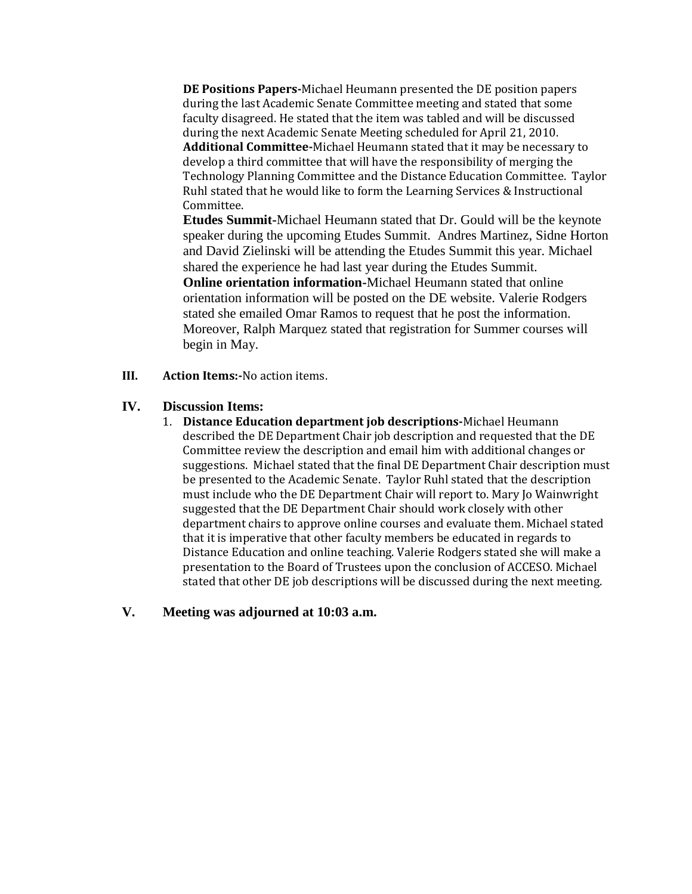**DE Positions Papers-**Michael Heumann presented the DE position papers during the last Academic Senate Committee meeting and stated that some faculty disagreed. He stated that the item was tabled and will be discussed during the next Academic Senate Meeting scheduled for April 21, 2010. **Additional Committee-**Michael Heumann stated that it may be necessary to develop a third committee that will have the responsibility of merging the Technology Planning Committee and the Distance Education Committee. Taylor Ruhl stated that he would like to form the Learning Services & Instructional Committee.

**Etudes Summit-**Michael Heumann stated that Dr. Gould will be the keynote speaker during the upcoming Etudes Summit. Andres Martinez, Sidne Horton and David Zielinski will be attending the Etudes Summit this year. Michael shared the experience he had last year during the Etudes Summit. **Online orientation information-**Michael Heumann stated that online orientation information will be posted on the DE website. Valerie Rodgers stated she emailed Omar Ramos to request that he post the information. Moreover, Ralph Marquez stated that registration for Summer courses will begin in May.

**III. Action Items:-**No action items.

#### **IV. Discussion Items:**

1. **Distance Education department job descriptions-**Michael Heumann described the DE Department Chair job description and requested that the DE Committee review the description and email him with additional changes or suggestions. Michael stated that the final DE Department Chair description must be presented to the Academic Senate. Taylor Ruhl stated that the description must include who the DE Department Chair will report to. Mary Jo Wainwright suggested that the DE Department Chair should work closely with other department chairs to approve online courses and evaluate them. Michael stated that it is imperative that other faculty members be educated in regards to Distance Education and online teaching. Valerie Rodgers stated she will make a presentation to the Board of Trustees upon the conclusion of ACCESO. Michael stated that other DE job descriptions will be discussed during the next meeting.

### **V. Meeting was adjourned at 10:03 a.m.**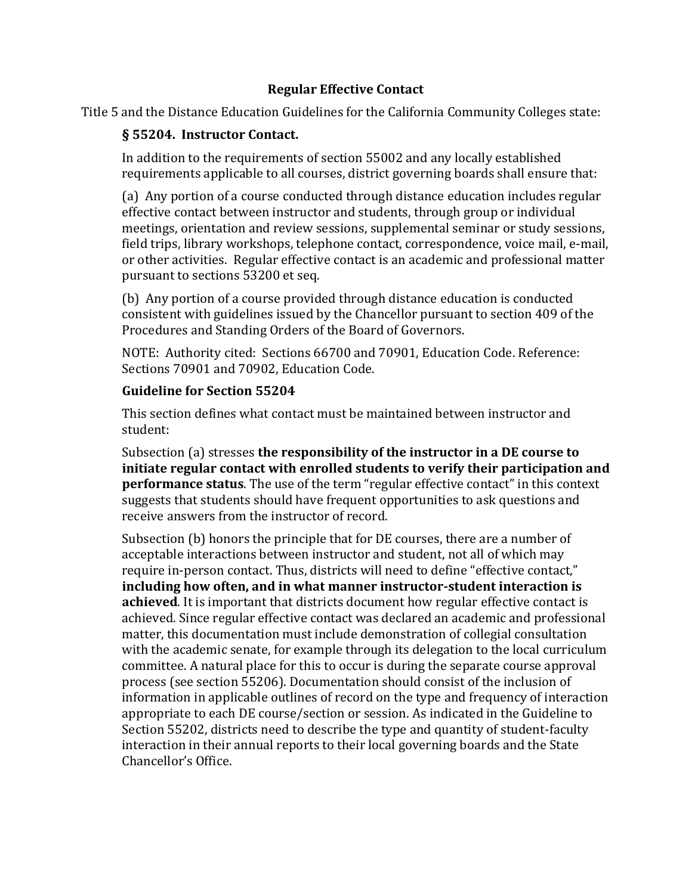### **Regular Effective Contact**

Title 5 and the Distance Education Guidelines for the California Community Colleges state:

# **§ 55204. Instructor Contact.**

In addition to the requirements of section 55002 and any locally established requirements applicable to all courses, district governing boards shall ensure that:

(a) Any portion of a course conducted through distance education includes regular effective contact between instructor and students, through group or individual meetings, orientation and review sessions, supplemental seminar or study sessions, field trips, library workshops, telephone contact, correspondence, voice mail, e-mail, or other activities. Regular effective contact is an academic and professional matter pursuant to sections 53200 et seq.

(b) Any portion of a course provided through distance education is conducted consistent with guidelines issued by the Chancellor pursuant to section 409 of the Procedures and Standing Orders of the Board of Governors.

NOTE: Authority cited: Sections 66700 and 70901, Education Code. Reference: Sections 70901 and 70902, Education Code.

### **Guideline for Section 55204**

This section defines what contact must be maintained between instructor and student:

Subsection (a) stresses **the responsibility of the instructor in a DE course to initiate regular contact with enrolled students to verify their participation and performance status**. The use of the term "regular effective contact" in this context suggests that students should have frequent opportunities to ask questions and receive answers from the instructor of record.

Subsection (b) honors the principle that for DE courses, there are a number of acceptable interactions between instructor and student, not all of which may require in-person contact. Thus, districts will need to define "effective contact," **including how often, and in what manner instructor-student interaction is achieved**. It is important that districts document how regular effective contact is achieved. Since regular effective contact was declared an academic and professional matter, this documentation must include demonstration of collegial consultation with the academic senate, for example through its delegation to the local curriculum committee. A natural place for this to occur is during the separate course approval process (see section 55206). Documentation should consist of the inclusion of information in applicable outlines of record on the type and frequency of interaction appropriate to each DE course/section or session. As indicated in the Guideline to Section 55202, districts need to describe the type and quantity of student-faculty interaction in their annual reports to their local governing boards and the State Chancellor's Office.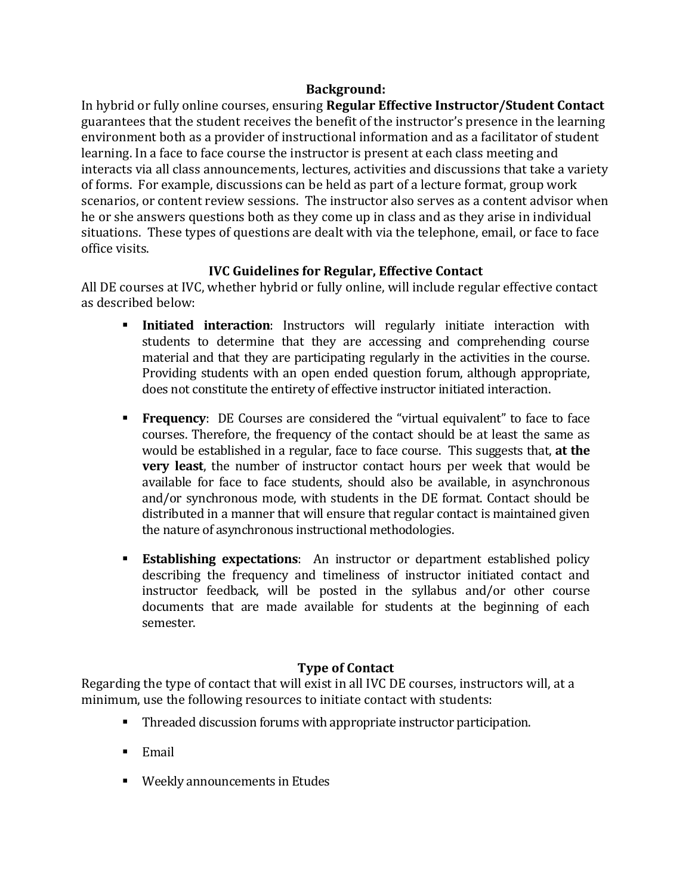### **Background:**

In hybrid or fully online courses, ensuring **Regular Effective Instructor/Student Contact** guarantees that the student receives the benefit of the instructor's presence in the learning environment both as a provider of instructional information and as a facilitator of student learning. In a face to face course the instructor is present at each class meeting and interacts via all class announcements, lectures, activities and discussions that take a variety of forms. For example, discussions can be held as part of a lecture format, group work scenarios, or content review sessions. The instructor also serves as a content advisor when he or she answers questions both as they come up in class and as they arise in individual situations. These types of questions are dealt with via the telephone, email, or face to face office visits.

### **IVC Guidelines for Regular, Effective Contact**

All DE courses at IVC, whether hybrid or fully online, will include regular effective contact as described below:

- **Initiated interaction**: Instructors will regularly initiate interaction with students to determine that they are accessing and comprehending course material and that they are participating regularly in the activities in the course. Providing students with an open ended question forum, although appropriate, does not constitute the entirety of effective instructor initiated interaction.
- **Frequency**: DE Courses are considered the "virtual equivalent" to face to face courses. Therefore, the frequency of the contact should be at least the same as would be established in a regular, face to face course. This suggests that, **at the very least**, the number of instructor contact hours per week that would be available for face to face students, should also be available, in asynchronous and/or synchronous mode, with students in the DE format. Contact should be distributed in a manner that will ensure that regular contact is maintained given the nature of asynchronous instructional methodologies.
- **Establishing expectations**: An instructor or department established policy describing the frequency and timeliness of instructor initiated contact and instructor feedback, will be posted in the syllabus and/or other course documents that are made available for students at the beginning of each semester.

# **Type of Contact**

Regarding the type of contact that will exist in all IVC DE courses, instructors will, at a minimum, use the following resources to initiate contact with students:

- Threaded discussion forums with appropriate instructor participation.
- $\blacksquare$  Email
- **Weekly announcements in Etudes**